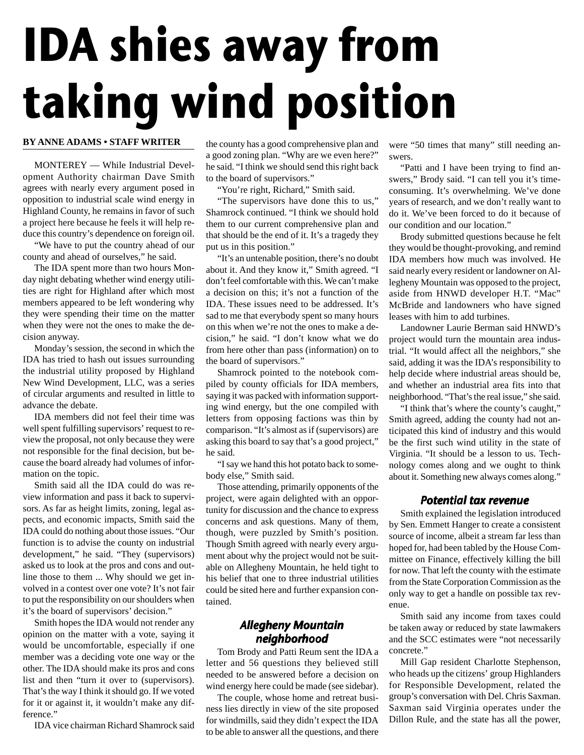# **IDA shies away from taking wind position**

### **BY ANNE ADAMS • STAFF WRITER**

MONTEREY — While Industrial Development Authority chairman Dave Smith agrees with nearly every argument posed in opposition to industrial scale wind energy in Highland County, he remains in favor of such a project here because he feels it will help reduce this country's dependence on foreign oil.

"We have to put the country ahead of our county and ahead of ourselves," he said.

The IDA spent more than two hours Monday night debating whether wind energy utilities are right for Highland after which most members appeared to be left wondering why they were spending their time on the matter when they were not the ones to make the decision anyway.

Monday's session, the second in which the IDA has tried to hash out issues surrounding the industrial utility proposed by Highland New Wind Development, LLC, was a series of circular arguments and resulted in little to advance the debate.

IDA members did not feel their time was well spent fulfilling supervisors' request to review the proposal, not only because they were not responsible for the final decision, but because the board already had volumes of information on the topic.

Smith said all the IDA could do was review information and pass it back to supervisors. As far as height limits, zoning, legal aspects, and economic impacts, Smith said the IDA could do nothing about those issues. "Our function is to advise the county on industrial development," he said. "They (supervisors) asked us to look at the pros and cons and outline those to them ... Why should we get involved in a contest over one vote? It's not fair to put the responsibility on our shoulders when it's the board of supervisors' decision."

Smith hopes the IDA would not render any opinion on the matter with a vote, saying it would be uncomfortable, especially if one member was a deciding vote one way or the other. The IDA should make its pros and cons list and then "turn it over to (supervisors). That's the way I think it should go. If we voted for it or against it, it wouldn't make any difference."

IDA vice chairman Richard Shamrock said

the county has a good comprehensive plan and a good zoning plan. "Why are we even here?" he said. "I think we should send this right back to the board of supervisors."

"You're right, Richard," Smith said.

"The supervisors have done this to us," Shamrock continued. "I think we should hold them to our current comprehensive plan and that should be the end of it. It's a tragedy they put us in this position."

"It's an untenable position, there's no doubt about it. And they know it," Smith agreed. "I don't feel comfortable with this. We can't make a decision on this; it's not a function of the IDA. These issues need to be addressed. It's sad to me that everybody spent so many hours on this when we're not the ones to make a decision," he said. "I don't know what we do from here other than pass (information) on to the board of supervisors."

Shamrock pointed to the notebook compiled by county officials for IDA members, saying it was packed with information supporting wind energy, but the one compiled with letters from opposing factions was thin by comparison. "It's almost as if (supervisors) are asking this board to say that's a good project," he said.

"I say we hand this hot potato back to somebody else," Smith said.

Those attending, primarily opponents of the project, were again delighted with an opportunity for discussion and the chance to express concerns and ask questions. Many of them, though, were puzzled by Smith's position. Though Smith agreed with nearly every argument about why the project would not be suitable on Allegheny Mountain, he held tight to his belief that one to three industrial utilities could be sited here and further expansion contained.

# Allegheny Mountain neighborhood

Tom Brody and Patti Reum sent the IDA a letter and 56 questions they believed still needed to be answered before a decision on wind energy here could be made (see sidebar).

The couple, whose home and retreat business lies directly in view of the site proposed for windmills, said they didn't expect the IDA to be able to answer all the questions, and there

were "50 times that many" still needing answers.

"Patti and I have been trying to find answers," Brody said. "I can tell you it's timeconsuming. It's overwhelming. We've done years of research, and we don't really want to do it. We've been forced to do it because of our condition and our location."

Brody submitted questions because he felt they would be thought-provoking, and remind IDA members how much was involved. He said nearly every resident or landowner on Allegheny Mountain was opposed to the project, aside from HNWD developer H.T. "Mac" McBride and landowners who have signed leases with him to add turbines.

Landowner Laurie Berman said HNWD's project would turn the mountain area industrial. "It would affect all the neighbors," she said, adding it was the IDA's responsibility to help decide where industrial areas should be, and whether an industrial area fits into that neighborhood. "That's the real issue," she said.

"I think that's where the county's caught," Smith agreed, adding the county had not anticipated this kind of industry and this would be the first such wind utility in the state of Virginia. "It should be a lesson to us. Technology comes along and we ought to think about it. Something new always comes along."

## Potential tax revenue

Smith explained the legislation introduced by Sen. Emmett Hanger to create a consistent source of income, albeit a stream far less than hoped for, had been tabled by the House Committee on Finance, effectively killing the bill for now. That left the county with the estimate from the State Corporation Commission as the only way to get a handle on possible tax revenue.

Smith said any income from taxes could be taken away or reduced by state lawmakers and the SCC estimates were "not necessarily concrete."

Mill Gap resident Charlotte Stephenson, who heads up the citizens' group Highlanders for Responsible Development, related the group's conversation with Del. Chris Saxman. Saxman said Virginia operates under the Dillon Rule, and the state has all the power,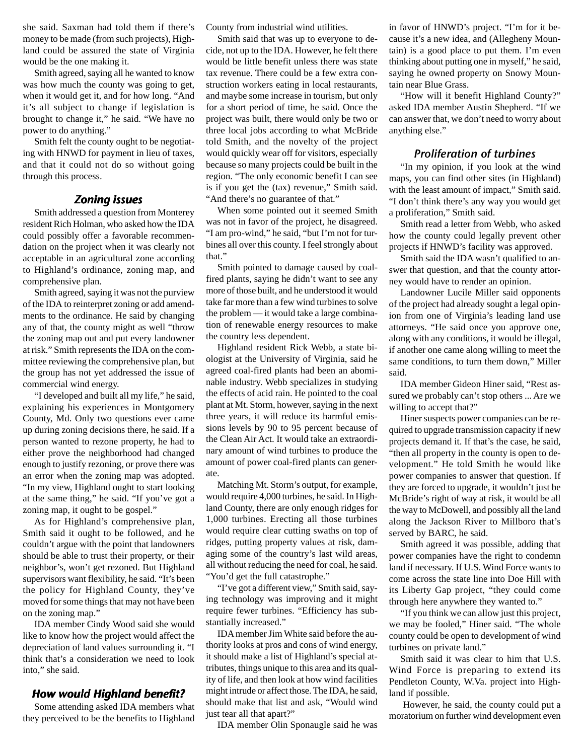she said. Saxman had told them if there's money to be made (from such projects), Highland could be assured the state of Virginia would be the one making it.

Smith agreed, saying all he wanted to know was how much the county was going to get, when it would get it, and for how long. "And it's all subject to change if legislation is brought to change it," he said. "We have no power to do anything."

Smith felt the county ought to be negotiating with HNWD for payment in lieu of taxes, and that it could not do so without going through this process.

# Zoning issues

Smith addressed a question from Monterey resident Rich Holman, who asked how the IDA could possibly offer a favorable recommendation on the project when it was clearly not acceptable in an agricultural zone according to Highland's ordinance, zoning map, and comprehensive plan.

Smith agreed, saying it was not the purview of the IDA to reinterpret zoning or add amendments to the ordinance. He said by changing any of that, the county might as well "throw the zoning map out and put every landowner at risk." Smith represents the IDA on the committee reviewing the comprehensive plan, but the group has not yet addressed the issue of commercial wind energy.

"I developed and built all my life," he said, explaining his experiences in Montgomery County, Md. Only two questions ever came up during zoning decisions there, he said. If a person wanted to rezone property, he had to either prove the neighborhood had changed enough to justify rezoning, or prove there was an error when the zoning map was adopted. "In my view, Highland ought to start looking at the same thing," he said. "If you've got a zoning map, it ought to be gospel."

As for Highland's comprehensive plan, Smith said it ought to be followed, and he couldn't argue with the point that landowners should be able to trust their property, or their neighbor's, won't get rezoned. But Highland supervisors want flexibility, he said. "It's been the policy for Highland County, they've moved for some things that may not have been on the zoning map."

IDA member Cindy Wood said she would like to know how the project would affect the depreciation of land values surrounding it. "I think that's a consideration we need to look into," she said.

# How would Highland benefit?

Some attending asked IDA members what they perceived to be the benefits to Highland County from industrial wind utilities.

Smith said that was up to everyone to decide, not up to the IDA. However, he felt there would be little benefit unless there was state tax revenue. There could be a few extra construction workers eating in local restaurants, and maybe some increase in tourism, but only for a short period of time, he said. Once the project was built, there would only be two or three local jobs according to what McBride told Smith, and the novelty of the project would quickly wear off for visitors, especially because so many projects could be built in the region. "The only economic benefit I can see is if you get the (tax) revenue," Smith said. "And there's no guarantee of that."

When some pointed out it seemed Smith was not in favor of the project, he disagreed. "I am pro-wind," he said, "but I'm not for turbines all over this county. I feel strongly about that."

Smith pointed to damage caused by coalfired plants, saying he didn't want to see any more of those built, and he understood it would take far more than a few wind turbines to solve the problem — it would take a large combination of renewable energy resources to make the country less dependent.

Highland resident Rick Webb, a state biologist at the University of Virginia, said he agreed coal-fired plants had been an abominable industry. Webb specializes in studying the effects of acid rain. He pointed to the coal plant at Mt. Storm, however, saying in the next three years, it will reduce its harmful emissions levels by 90 to 95 percent because of the Clean Air Act. It would take an extraordinary amount of wind turbines to produce the amount of power coal-fired plants can generate.

Matching Mt. Storm's output, for example, would require 4,000 turbines, he said. In Highland County, there are only enough ridges for 1,000 turbines. Erecting all those turbines would require clear cutting swaths on top of ridges, putting property values at risk, damaging some of the country's last wild areas, all without reducing the need for coal, he said. "You'd get the full catastrophe."

"I've got a different view," Smith said, saying technology was improving and it might require fewer turbines. "Efficiency has substantially increased."

IDA member Jim White said before the authority looks at pros and cons of wind energy, it should make a list of Highland's special attributes, things unique to this area and its quality of life, and then look at how wind facilities might intrude or affect those. The IDA, he said, should make that list and ask, "Would wind just tear all that apart?"

IDA member Olin Sponaugle said he was

in favor of HNWD's project. "I'm for it because it's a new idea, and (Allegheny Mountain) is a good place to put them. I'm even thinking about putting one in myself," he said, saying he owned property on Snowy Mountain near Blue Grass.

"How will it benefit Highland County?" asked IDA member Austin Shepherd. "If we can answer that, we don't need to worry about anything else."

# Proliferation of turbines

"In my opinion, if you look at the wind maps, you can find other sites (in Highland) with the least amount of impact," Smith said. "I don't think there's any way you would get a proliferation," Smith said.

Smith read a letter from Webb, who asked how the county could legally prevent other projects if HNWD's facility was approved.

Smith said the IDA wasn't qualified to answer that question, and that the county attorney would have to render an opinion.

Landowner Lucile Miller said opponents of the project had already sought a legal opinion from one of Virginia's leading land use attorneys. "He said once you approve one, along with any conditions, it would be illegal, if another one came along willing to meet the same conditions, to turn them down," Miller said.

IDA member Gideon Hiner said, "Rest assured we probably can't stop others ... Are we willing to accept that?"

Hiner suspects power companies can be required to upgrade transmission capacity if new projects demand it. If that's the case, he said, "then all property in the county is open to development." He told Smith he would like power companies to answer that question. If they are forced to upgrade, it wouldn't just be McBride's right of way at risk, it would be all the way to McDowell, and possibly all the land along the Jackson River to Millboro that's served by BARC, he said.

Smith agreed it was possible, adding that power companies have the right to condemn land if necessary. If U.S. Wind Force wants to come across the state line into Doe Hill with its Liberty Gap project, "they could come through here anywhere they wanted to."

"If you think we can allow just this project, we may be fooled," Hiner said. "The whole county could be open to development of wind turbines on private land."

Smith said it was clear to him that U.S. Wind Force is preparing to extend its Pendleton County, W.Va. project into Highland if possible.

However, he said, the county could put a moratorium on further wind development even